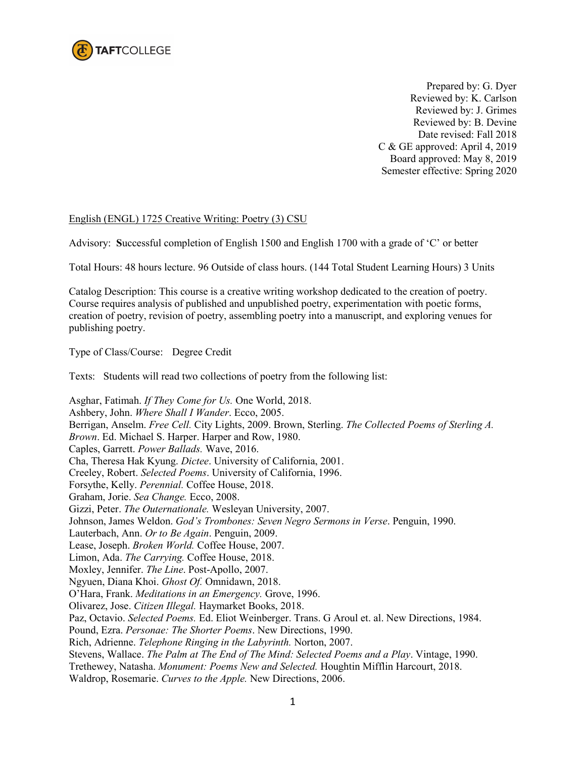

 Prepared by: G. Dyer Reviewed by: K. Carlson Reviewed by: J. Grimes Reviewed by: B. Devine Date revised: Fall 2018 C & GE approved: April 4, 2019 Board approved: May 8, 2019 Semester effective: Spring 2020

## English (ENGL) 1725 Creative Writing: Poetry (3) CSU

Advisory: **S**uccessful completion of English 1500 and English 1700 with a grade of 'C' or better

Total Hours: 48 hours lecture. 96 Outside of class hours. (144 Total Student Learning Hours) 3 Units

Catalog Description: This course is a creative writing workshop dedicated to the creation of poetry. Course requires analysis of published and unpublished poetry, experimentation with poetic forms, creation of poetry, revision of poetry, assembling poetry into a manuscript, and exploring venues for publishing poetry.

Type of Class/Course: Degree Credit

Texts: Students will read two collections of poetry from the following list:

Asghar, Fatimah. *If They Come for Us.* One World, 2018. Ashbery, John. *Where Shall I Wander*. Ecco, 2005. Berrigan, Anselm. *Free Cell.* City Lights, 2009. Brown, Sterling. *The Collected Poems of Sterling A. Brown*. Ed. Michael S. Harper. Harper and Row, 1980. Caples, Garrett. *Power Ballads.* Wave, 2016. Cha, Theresa Hak Kyung. *Dictee*. University of California, 2001. Creeley, Robert. *Selected Poems*. University of California, 1996. Forsythe, Kelly. *Perennial.* Coffee House, 2018. Graham, Jorie. *Sea Change.* Ecco, 2008. Gizzi, Peter. *The Outernationale.* Wesleyan University, 2007. Johnson, James Weldon. *God's Trombones: Seven Negro Sermons in Verse*. Penguin, 1990. Lauterbach, Ann. *Or to Be Again*. Penguin, 2009. Lease, Joseph. *Broken World.* Coffee House, 2007. Limon, Ada. *The Carrying.* Coffee House, 2018. Moxley, Jennifer. *The Line*. Post-Apollo, 2007. Ngyuen, Diana Khoi. *Ghost Of.* Omnidawn, 2018. O'Hara, Frank. *Meditations in an Emergency.* Grove, 1996. Olivarez, Jose. *Citizen Illegal.* Haymarket Books, 2018. Paz, Octavio. *Selected Poems.* Ed. Eliot Weinberger. Trans. G Aroul et. al. New Directions, 1984. Pound, Ezra. *Personae: The Shorter Poems*. New Directions, 1990. Rich, Adrienne. *Telephone Ringing in the Labyrinth.* Norton, 2007. Stevens, Wallace. *The Palm at The End of The Mind: Selected Poems and a Play*. Vintage, 1990. Trethewey, Natasha. *Monument: Poems New and Selected.* Houghtin Mifflin Harcourt, 2018. Waldrop, Rosemarie. *Curves to the Apple.* New Directions, 2006.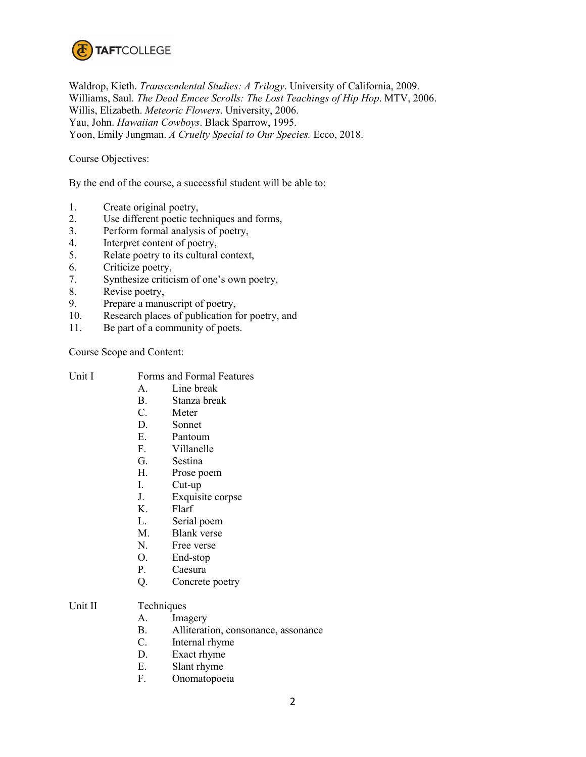

Waldrop, Kieth. *Transcendental Studies: A Trilogy*. University of California, 2009. Williams, Saul. *The Dead Emcee Scrolls: The Lost Teachings of Hip Hop*. MTV, 2006. Willis, Elizabeth. *Meteoric Flowers*. University, 2006. Yau, John. *Hawaiian Cowboys*. Black Sparrow, 1995. Yoon, Emily Jungman. *A Cruelty Special to Our Species.* Ecco, 2018.

Course Objectives:

By the end of the course, a successful student will be able to:

- 1. Create original poetry,<br>2. Use different poetic tec
- Use different poetic techniques and forms,
- 3. Perform formal analysis of poetry,
- 4. Interpret content of poetry,
- 5. Relate poetry to its cultural context,
- 6. Criticize poetry,
- 7. Synthesize criticism of one's own poetry,
- 8. Revise poetry,
- 9. Prepare a manuscript of poetry,
- 10. Research places of publication for poetry, and
- 11. Be part of a community of poets.

Course Scope and Content:

- A. Line break<br>B. Stanza brea
	- Stanza break
- C. Meter
- D. Sonnet
- E. Pantoum
- F. Villanelle
- G. Sestina
- H. Prose poem
- I. Cut-up
- J. Exquisite corpse
- K. Flarf
- L. Serial poem
- M. Blank verse
- N. Free verse
- O. End-stop<br>P. Caesura
- Caesura
- Q. Concrete poetry

## Unit II Techniques

- A. Imagery
- B. Alliteration, consonance, assonance
- C. Internal rhyme
- D. Exact rhyme
- E. Slant rhyme
- F. Onomatopoeia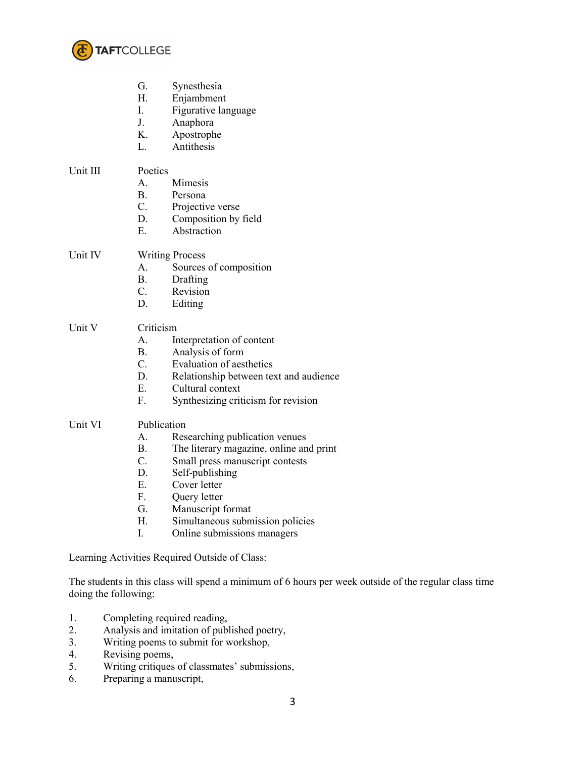

|          | G.<br>Synesthesia<br>Н.<br>Enjambment<br>L<br>Figurative language<br>J.<br>Anaphora<br>K.<br>Apostrophe<br>Antithesis<br>L.                                                                                                                                                                                                  |  |
|----------|------------------------------------------------------------------------------------------------------------------------------------------------------------------------------------------------------------------------------------------------------------------------------------------------------------------------------|--|
| Unit III | Poetics<br>Mimesis<br>А.<br>B.<br>Persona<br>$\mathcal{C}$ .<br>Projective verse<br>D.<br>Composition by field<br>Ε.<br>Abstraction                                                                                                                                                                                          |  |
| Unit IV  | <b>Writing Process</b><br>А.<br>Sources of composition<br>B.<br>Drafting<br>$C_{\cdot}$<br>Revision<br>D.<br>Editing                                                                                                                                                                                                         |  |
| Unit V   | Criticism<br>А.<br>Interpretation of content<br><b>B.</b><br>Analysis of form<br>$C_{\cdot}$<br><b>Evaluation of aesthetics</b><br>D.<br>Relationship between text and audience<br>$E_{-}$<br>Cultural context<br>F.<br>Synthesizing criticism for revision                                                                  |  |
| Unit VI  | Publication<br>Researching publication venues<br>А.<br>B.<br>The literary magazine, online and print<br>C.<br>Small press manuscript contests<br>D.<br>Self-publishing<br>E.<br>Cover letter<br>F.<br>Query letter<br>G.<br>Manuscript format<br>Η.<br>Simultaneous submission policies<br>I.<br>Online submissions managers |  |

Learning Activities Required Outside of Class:

The students in this class will spend a minimum of 6 hours per week outside of the regular class time doing the following:

- 1. Completing required reading,
- 2. Analysis and imitation of published poetry,<br>3. Writing poems to submit for workshop,
- 3. Writing poems to submit for workshop,<br>4. Revising poems,
- 4. Revising poems,<br>5. Writing critiques
- Writing critiques of classmates' submissions,
- 6. Preparing a manuscript,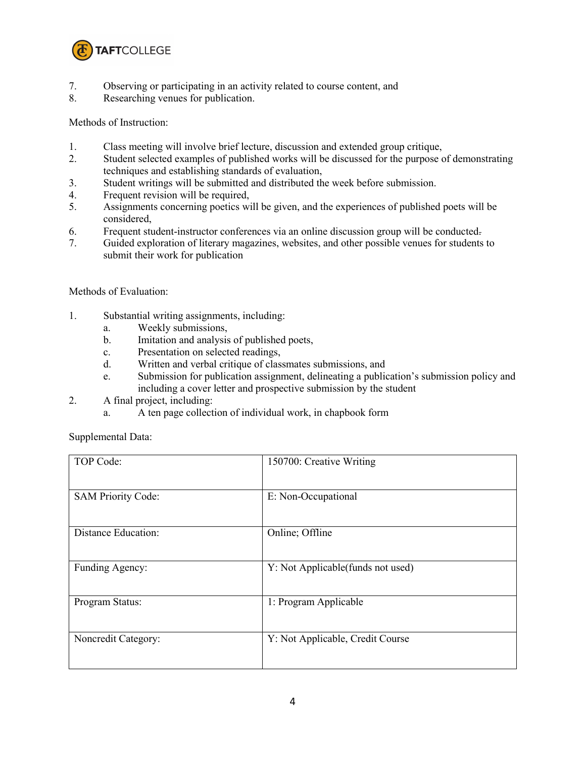

- 7. Observing or participating in an activity related to course content, and
- 8. Researching venues for publication.

Methods of Instruction:

- 1. Class meeting will involve brief lecture, discussion and extended group critique,
- 2. Student selected examples of published works will be discussed for the purpose of demonstrating techniques and establishing standards of evaluation,
- 3. Student writings will be submitted and distributed the week before submission.
- 4. Frequent revision will be required,
- 5. Assignments concerning poetics will be given, and the experiences of published poets will be considered,
- 6. Frequent student-instructor conferences via an online discussion group will be conducted.
- 7. Guided exploration of literary magazines, websites, and other possible venues for students to submit their work for publication

Methods of Evaluation:

- 1. Substantial writing assignments, including:
	- a. Weekly submissions,
	- b. Imitation and analysis of published poets,
	- c. Presentation on selected readings,
	- d. Written and verbal critique of classmates submissions, and
	- e. Submission for publication assignment, delineating a publication's submission policy and including a cover letter and prospective submission by the student
- 2. A final project, including:
	- a. A ten page collection of individual work, in chapbook form

Supplemental Data:

| TOP Code:                 | 150700: Creative Writing           |
|---------------------------|------------------------------------|
| <b>SAM Priority Code:</b> | E: Non-Occupational                |
| Distance Education:       | Online; Offline                    |
| Funding Agency:           | Y: Not Applicable (funds not used) |
| Program Status:           | 1: Program Applicable              |
| Noncredit Category:       | Y: Not Applicable, Credit Course   |